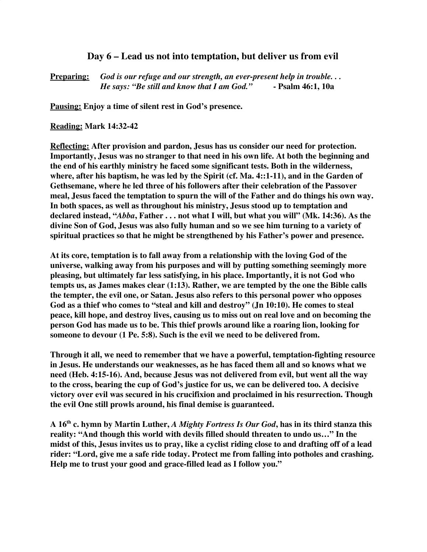## **Day 6 – Lead us not into temptation, but deliver us from evil**

**Preparing:** *God is our refuge and our strength, an ever-present help in trouble. . . He says: "Be still and know that I am God."* **- Psalm 46:1, 10a**

**Pausing: Enjoy a time of silent rest in God's presence.**

**Reading: Mark 14:32-42**

**Reflecting: After provision and pardon, Jesus has us consider our need for protection. Importantly, Jesus was no stranger to that need in his own life. At both the beginning and the end of his earthly ministry he faced some significant tests. Both in the wilderness, where, after his baptism, he was led by the Spirit (cf. Ma. 4::1-11), and in the Garden of Gethsemane, where he led three of his followers after their celebration of the Passover meal, Jesus faced the temptation to spurn the will of the Father and do things his own way. In both spaces, as well as throughout his ministry, Jesus stood up to temptation and declared instead, "***Abba***, Father . . . not what I will, but what you will" (Mk. 14:36). As the divine Son of God, Jesus was also fully human and so we see him turning to a variety of spiritual practices so that he might be strengthened by his Father's power and presence.**

**At its core, temptation is to fall away from a relationship with the loving God of the universe, walking away from his purposes and will by putting something seemingly more pleasing, but ultimately far less satisfying, in his place. Importantly, it is not God who tempts us, as James makes clear (1:13). Rather, we are tempted by the one the Bible calls the tempter, the evil one, or Satan. Jesus also refers to this personal power who opposes God as a thief who comes to "steal and kill and destroy" (Jn 10:10). He comes to steal peace, kill hope, and destroy lives, causing us to miss out on real love and on becoming the person God has made us to be. This thief prowls around like a roaring lion, looking for someone to devour (1 Pe. 5:8). Such is the evil we need to be delivered from.**

**Through it all, we need to remember that we have a powerful, temptation-fighting resource in Jesus. He understands our weaknesses, as he has faced them all and so knows what we need (Heb. 4:15-16). And, because Jesus was not delivered from evil, but went all the way to the cross, bearing the cup of God's justice for us, we can be delivered too. A decisive victory over evil was secured in his crucifixion and proclaimed in his resurrection. Though the evil One still prowls around, his final demise is guaranteed.**

**A 16 th c. hymn by Martin Luther,** *A Mighty Fortress Is Our God***, has in its third stanza this reality: "And though this world with devils filled should threaten to undo us…" In the midst of this, Jesus invites us to pray, like a cyclist riding close to and drafting off of a lead rider: "Lord, give me a safe ride today. Protect me from falling into potholes and crashing. Help me to trust your good and grace-filled lead as I follow you."**